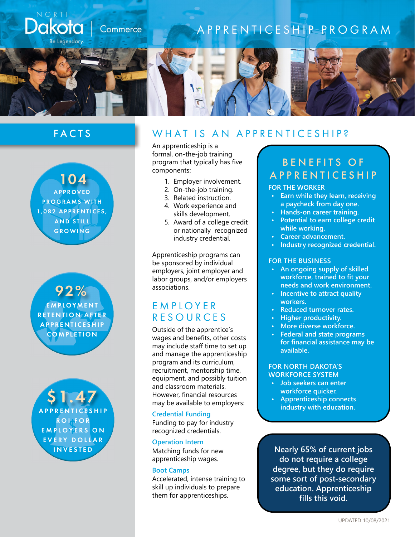

## FACTS



92% EMPLOYMENT **RETENTION AFTER APPRENTICESHIP COMPLETION** 

\$1.47 **A P P R E N T I C E S H I P** R O I F O R EMPLOYERS ON EVERY DOLLAR INVESTED

### W H A T I S A N A P P R E N T I C E S H I P ?

An apprenticeship is a formal, on-the-job training program that typically has five components:

- 1. Employer involvement.
- 2. On-the-job training.
- 3. Related instruction.
- 4. Work experience and skills development.
- 5. Award of a college credit or nationally recognized industry credential.

Apprenticeship programs can be sponsored by individual employers, joint employer and labor groups, and/or employers associations.

## **EMPIOYER** RESOURCES

Outside of the apprentice's wages and benefits, other costs may include staff time to set up and manage the apprenticeship program and its curriculum, recruitment, mentorship time, equipment, and possibly tuition and classroom materials. However, financial resources may be available to employers:

#### **Credential Funding**

Funding to pay for industry recognized credentials.

#### **Operation Intern**

Matching funds for new apprenticeship wages.

#### **Boot Camps**

Accelerated, intense training to skill up individuals to prepare them for apprenticeships.

# BENEFITS OF APPRENTICESHIP

#### **FOR THE WORKER**

- **• Earn while they learn, receiving a paycheck from day one.**
- **• Hands-on career training.**
- **• Potential to earn college credit while working.**
- **• Career advancement.**
- **• Industry recognized credential.**

#### **FOR THE BUSINESS**

- **• An ongoing supply of skilled workforce, trained to fit your needs and work environment.**
- **• Incentive to attract quality workers.**
- **• Reduced turnover rates.**
- **• Higher productivity.**
- **• More diverse workforce.**
- **• Federal and state programs for financial assistance may be available.**

#### **FOR NORTH DAKOTA'S WORKFORCE SYSTEM**

- **• Job seekers can enter workforce quicker.**
- **• Apprenticeship connects industry with education.**

**Nearly 65% of current jobs do not require a college degree, but they do require some sort of post-secondary education. Apprenticeship fills this void.**